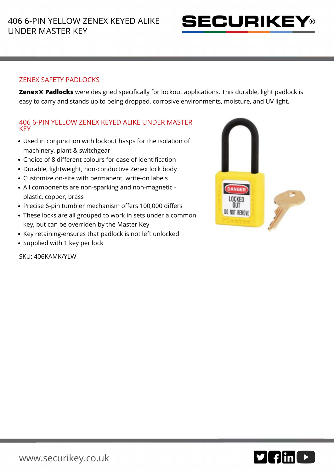

## ZENEX SAFETY PADLOCKS

**Zenex® Padlocks** were designed specifically for lockout applications. This durable, light padlock is easy to carry and stands up to being dropped, corrosive environments, moisture, and UV light.

## 406 6-PIN YELLOW ZENEX KEYED ALIKE UNDER MASTER **KEY**

- Used in conjunction with lockout hasps for the isolation of machinery, plant & switchgear
- Choice of 8 different colours for ease of identification
- Durable, lightweight, non-conductive Zenex lock body
- Customize on-site with permanent, write-on labels
- All components are non-sparking and non-magnetic plastic, copper, brass
- Precise 6-pin tumbler mechanism offers 100,000 differs
- These locks are all grouped to work in sets under a common key, but can be overriden by the Master Key
- Key retaining-ensures that padlock is not left unlocked
- Supplied with 1 key per lock

SKU: 406KAMK/YLW



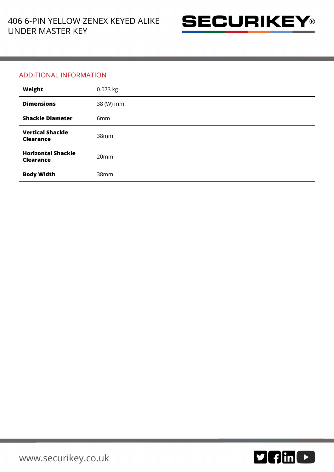

## ADDITIONAL INFORMATION

| Weight                                        | 0.073 kg         |
|-----------------------------------------------|------------------|
| <b>Dimensions</b>                             | 38 (W) mm        |
| <b>Shackle Diameter</b>                       | 6mm              |
| <b>Vertical Shackle</b><br><b>Clearance</b>   | 38mm             |
| <b>Horizontal Shackle</b><br><b>Clearance</b> | 20 <sub>mm</sub> |
| <b>Body Width</b>                             | 38mm             |

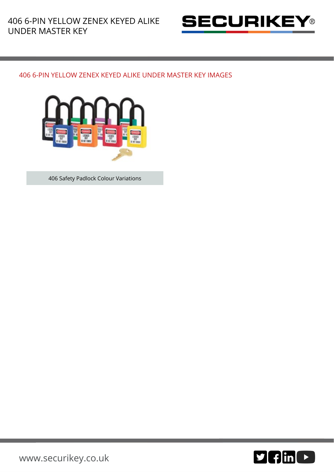

## 406 6-PIN YELLOW ZENEX KEYED ALIKE UNDER MASTER KEY IMAGES



406 Safety Padlock Colour Variations